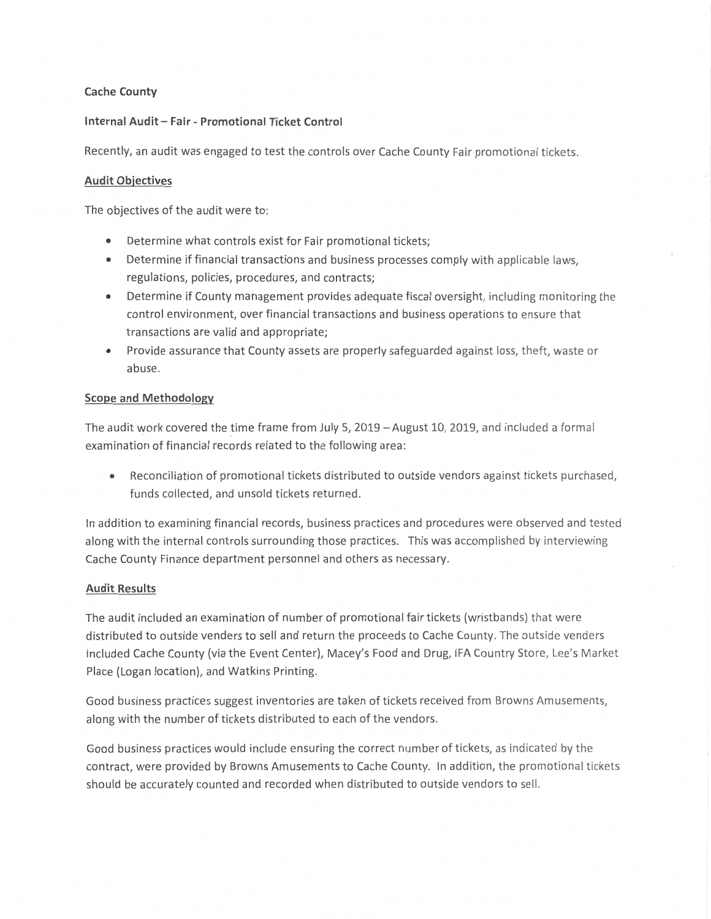# **Cache County**

# **Internal Audit - Fair - Promotional Ticket Control**

Recently, an audit was engaged to test the controls over Cache County Fair promotional tickets.

# **Audit Objectives**

The objectives of the audit were to:

- Determine what controls exist for Fair promotional tickets;
- Determine if financial transactions and business processes comply with applicable laws, regulations, policies, procedures, and contracts;
- Determine if County management provides adequate fiscal oversight, including monitoring the control environment, over financial transactions and business operations to ensure that transactions are valid and appropriate;
- Provide assurance that County assets are properly safeguarded against loss, theft, waste or abuse.

### **Scope and Methodology**

The audit work covered the time frame from July 5, 2019 - August 10, 2019, and included a formal examination of financial records related to the following area:

• Reconciliation of promotional tickets distributed to outside vendors against tickets purchased, funds collected, and unsold tickets returned.

In addition to examining financial records, business practices and procedures were observed and tested along with the internal controls surrounding those practices. This was accomplished by interviewing Cache County Finance department personnel and others as necessary.

### **Audit Results**

The audit included an examination of number of promotional fair tickets (wristbands) that were distributed to outside venders to sell and return the proceeds to Cache County. The outside venders included Cache County (via the Event Center), Macey's Food and Drug, IFA Country Store, Lee's Market Place {Logan location), and Watkins Printing.

Good business practices suggest inventories are taken of tickets received from Browns Amusements, along with the number of tickets distributed to each of the vendors.

Good business practices would include ensuring the correct number of tickets, as indicated by the contract, were provided by Browns Amusements to Cache County. In addition, the promotiona l tickets should be accurately counted and recorded when distributed to outside vendors to sell.